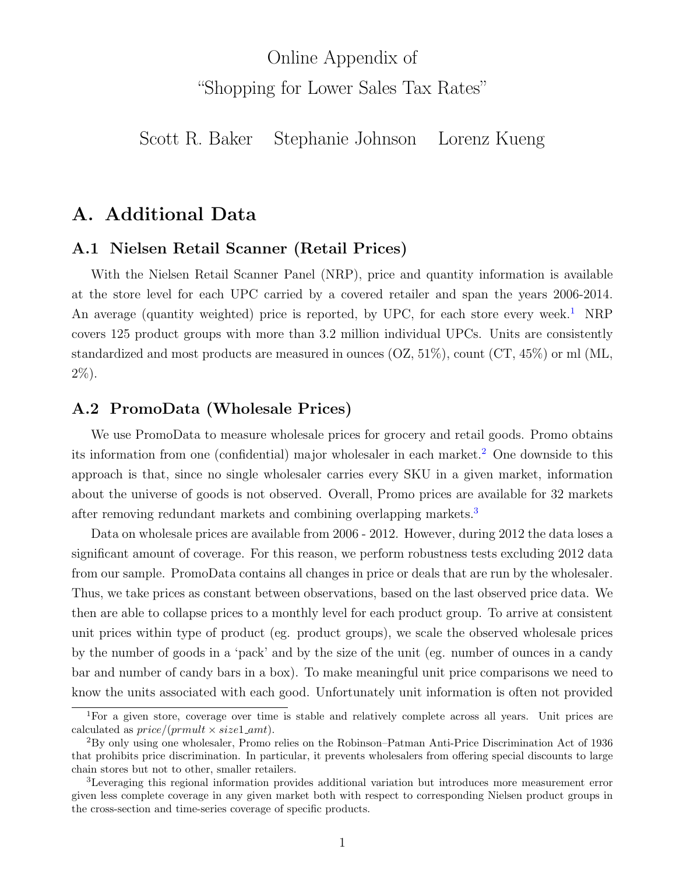# Online Appendix of "Shopping for Lower Sales Tax Rates"

Scott R. Baker Stephanie Johnson Lorenz Kueng

# A. Additional Data

### A.1 Nielsen Retail Scanner (Retail Prices)

With the Nielsen Retail Scanner Panel (NRP), price and quantity information is available at the store level for each UPC carried by a covered retailer and span the years 2006-2014. An average (quantity weighted) price is reported, by UPC, for each store every week.<sup>[1](#page-0-0)</sup> NRP covers 125 product groups with more than 3.2 million individual UPCs. Units are consistently standardized and most products are measured in ounces (OZ, 51%), count (CT, 45%) or ml (ML, 2%).

#### A.2 PromoData (Wholesale Prices)

We use PromoData to measure wholesale prices for grocery and retail goods. Promo obtains its information from one (confidential) major wholesaler in each market.<sup>[2](#page-0-1)</sup> One downside to this approach is that, since no single wholesaler carries every SKU in a given market, information about the universe of goods is not observed. Overall, Promo prices are available for 32 markets after removing redundant markets and combining overlapping markets.<sup>[3](#page-0-2)</sup>

Data on wholesale prices are available from 2006 - 2012. However, during 2012 the data loses a significant amount of coverage. For this reason, we perform robustness tests excluding 2012 data from our sample. PromoData contains all changes in price or deals that are run by the wholesaler. Thus, we take prices as constant between observations, based on the last observed price data. We then are able to collapse prices to a monthly level for each product group. To arrive at consistent unit prices within type of product (eg. product groups), we scale the observed wholesale prices by the number of goods in a 'pack' and by the size of the unit (eg. number of ounces in a candy bar and number of candy bars in a box). To make meaningful unit price comparisons we need to know the units associated with each good. Unfortunately unit information is often not provided

<span id="page-0-0"></span><sup>&</sup>lt;sup>1</sup>For a given store, coverage over time is stable and relatively complete across all years. Unit prices are calculated as  $price/(prmult \times size1\_amt)$ .

<span id="page-0-1"></span><sup>2</sup>By only using one wholesaler, Promo relies on the Robinson–Patman Anti-Price Discrimination Act of 1936 that prohibits price discrimination. In particular, it prevents wholesalers from offering special discounts to large chain stores but not to other, smaller retailers.

<span id="page-0-2"></span><sup>3</sup>Leveraging this regional information provides additional variation but introduces more measurement error given less complete coverage in any given market both with respect to corresponding Nielsen product groups in the cross-section and time-series coverage of specific products.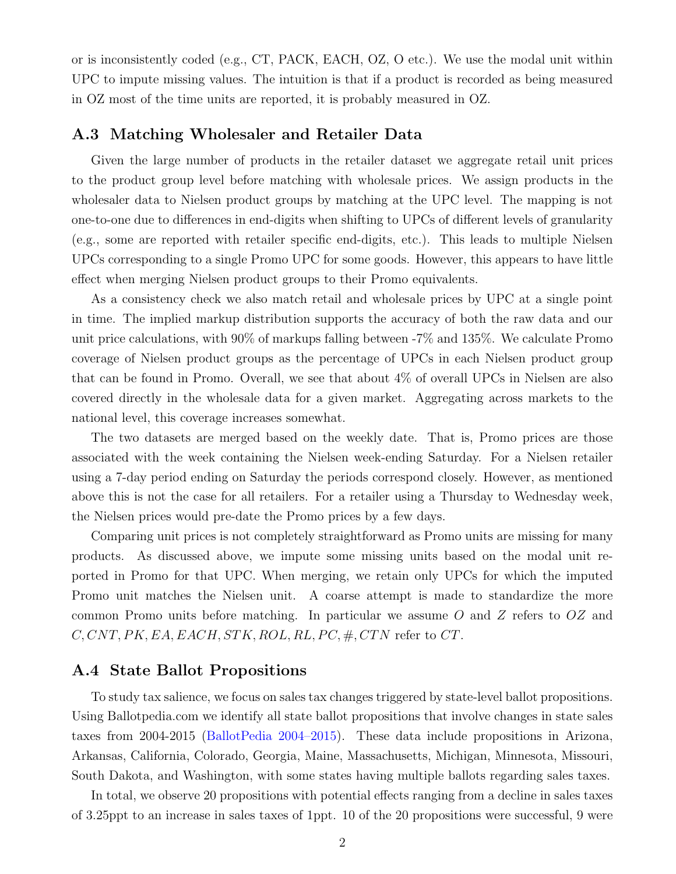or is inconsistently coded (e.g., CT, PACK, EACH, OZ, O etc.). We use the modal unit within UPC to impute missing values. The intuition is that if a product is recorded as being measured in OZ most of the time units are reported, it is probably measured in OZ.

#### A.3 Matching Wholesaler and Retailer Data

Given the large number of products in the retailer dataset we aggregate retail unit prices to the product group level before matching with wholesale prices. We assign products in the wholesaler data to Nielsen product groups by matching at the UPC level. The mapping is not one-to-one due to differences in end-digits when shifting to UPCs of different levels of granularity (e.g., some are reported with retailer specific end-digits, etc.). This leads to multiple Nielsen UPCs corresponding to a single Promo UPC for some goods. However, this appears to have little effect when merging Nielsen product groups to their Promo equivalents.

As a consistency check we also match retail and wholesale prices by UPC at a single point in time. The implied markup distribution supports the accuracy of both the raw data and our unit price calculations, with 90% of markups falling between -7% and 135%. We calculate Promo coverage of Nielsen product groups as the percentage of UPCs in each Nielsen product group that can be found in Promo. Overall, we see that about 4% of overall UPCs in Nielsen are also covered directly in the wholesale data for a given market. Aggregating across markets to the national level, this coverage increases somewhat.

The two datasets are merged based on the weekly date. That is, Promo prices are those associated with the week containing the Nielsen week-ending Saturday. For a Nielsen retailer using a 7-day period ending on Saturday the periods correspond closely. However, as mentioned above this is not the case for all retailers. For a retailer using a Thursday to Wednesday week, the Nielsen prices would pre-date the Promo prices by a few days.

Comparing unit prices is not completely straightforward as Promo units are missing for many products. As discussed above, we impute some missing units based on the modal unit reported in Promo for that UPC. When merging, we retain only UPCs for which the imputed Promo unit matches the Nielsen unit. A coarse attempt is made to standardize the more common Promo units before matching. In particular we assume  $O$  and  $Z$  refers to  $OZ$  and  $C, CNT, PK, EA, EACH, STK, ROL, RL, PC, #, CTN$  refer to  $CT$ .

#### A.4 State Ballot Propositions

To study tax salience, we focus on sales tax changes triggered by state-level ballot propositions. Using Ballotpedia.com we identify all state ballot propositions that involve changes in state sales taxes from 2004-2015 [\(BallotPedia](#page-14-0) [2004–2015\)](#page-14-0). These data include propositions in Arizona, Arkansas, California, Colorado, Georgia, Maine, Massachusetts, Michigan, Minnesota, Missouri, South Dakota, and Washington, with some states having multiple ballots regarding sales taxes.

In total, we observe 20 propositions with potential effects ranging from a decline in sales taxes of 3.25ppt to an increase in sales taxes of 1ppt. 10 of the 20 propositions were successful, 9 were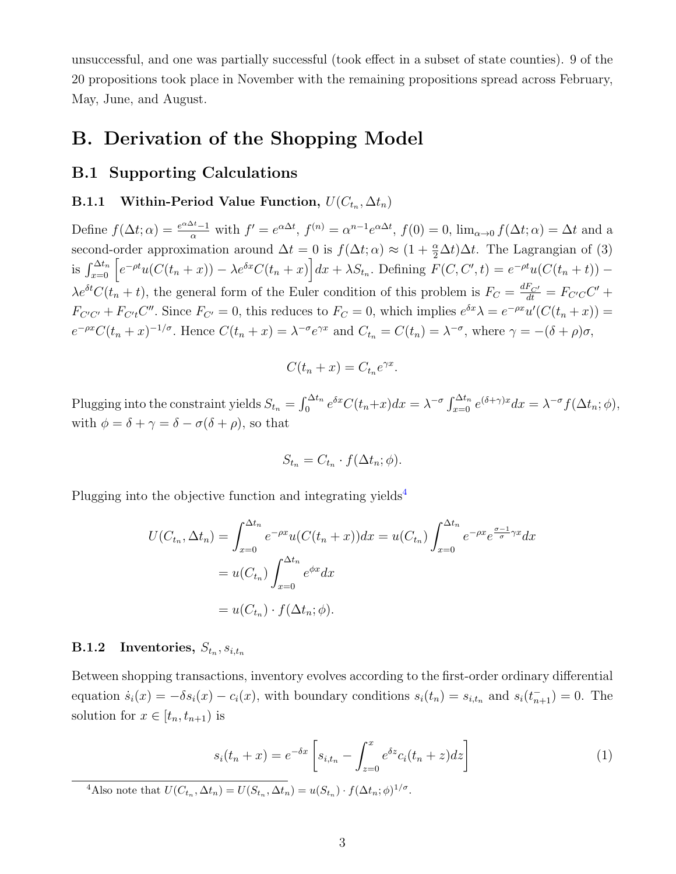unsuccessful, and one was partially successful (took effect in a subset of state counties). 9 of the 20 propositions took place in November with the remaining propositions spread across February, May, June, and August.

## B. Derivation of the Shopping Model

#### B.1 Supporting Calculations

#### **B.1.1** Within-Period Value Function,  $U(C_{t_n}, \Delta t_n)$

Define  $f(\Delta t; \alpha) = \frac{e^{\alpha \Delta t} - 1}{\alpha}$  with  $f' = e^{\alpha \Delta t}$ ,  $f^{(n)} = \alpha^{n-1} e^{\alpha \Delta t}$ ,  $f(0) = 0$ ,  $\lim_{\alpha \to 0} f(\Delta t; \alpha) = \Delta t$  and a second-order approximation around  $\Delta t = 0$  is  $f(\Delta t; \alpha) \approx (1 + \frac{\alpha}{2} \Delta t) \Delta t$ . The Lagrangian of (3) is  $\int_{x=0}^{\Delta t_n} \left[ e^{-\rho t} u(C(t_n+x)) - \lambda e^{\delta x} C(t_n+x) \right] dx + \lambda S_{t_n}$ . Defining  $F(C, C', t) = e^{-\rho t} u(C(t_n+t)) \lambda e^{\delta t} C(t_n + t)$ , the general form of the Euler condition of this problem is  $F_C = \frac{dF_{C'}}{dt} = F_{C'C}C' +$  $F_{C'C'} + F_{C't}C''$ . Since  $F_{C'} = 0$ , this reduces to  $F_C = 0$ , which implies  $e^{\delta x} \lambda = e^{-\rho x} u'(C(t_n + x)) =$  $e^{-\rho x} C(t_n + x)^{-1/\sigma}$ . Hence  $C(t_n + x) = \lambda^{-\sigma} e^{\gamma x}$  and  $C_{t_n} = C(t_n) = \lambda^{-\sigma}$ , where  $\gamma = -(\delta + \rho)\sigma$ ,

$$
C(t_n + x) = C_{t_n} e^{\gamma x}.
$$

Plugging into the constraint yields  $S_{t_n} = \int_0^{\Delta t_n} e^{\delta x} C(t_n + x) dx = \lambda^{-\sigma} \int_{x=0}^{\Delta t_n} e^{(\delta + \gamma)x} dx = \lambda^{-\sigma} f(\Delta t_n; \phi)$ , with  $\phi = \delta + \gamma = \delta - \sigma(\delta + \rho)$ , so that

$$
S_{t_n} = C_{t_n} \cdot f(\Delta t_n; \phi).
$$

Plugging into the objective function and integrating yields<sup>[4](#page-2-0)</sup>

$$
U(C_{t_n}, \Delta t_n) = \int_{x=0}^{\Delta t_n} e^{-\rho x} u(C(t_n + x)) dx = u(C_{t_n}) \int_{x=0}^{\Delta t_n} e^{-\rho x} e^{\frac{\sigma - 1}{\sigma} \gamma x} dx
$$
  
=  $u(C_{t_n}) \int_{x=0}^{\Delta t_n} e^{\phi x} dx$   
=  $u(C_{t_n}) \cdot f(\Delta t_n; \phi).$ 

#### $\rm\,B.1.2$  Inventories,  $S_{t_n}, s_{i,t_n}$

Between shopping transactions, inventory evolves according to the first-order ordinary differential equation  $\dot{s}_i(x) = -\delta s_i(x) - c_i(x)$ , with boundary conditions  $s_i(t_n) = s_{i,t_n}$  and  $s_i(t_{n+1}) = 0$ . The solution for  $x \in [t_n, t_{n+1})$  is

$$
s_i(t_n + x) = e^{-\delta x} \left[ s_{i,t_n} - \int_{z=0}^x e^{\delta z} c_i(t_n + z) dz \right]
$$
 (1)

<span id="page-2-0"></span><sup>4</sup>Also note that  $U(C_{t_n}, \Delta t_n) = U(S_{t_n}, \Delta t_n) = u(S_{t_n}) \cdot f(\Delta t_n; \phi)^{1/\sigma}$ .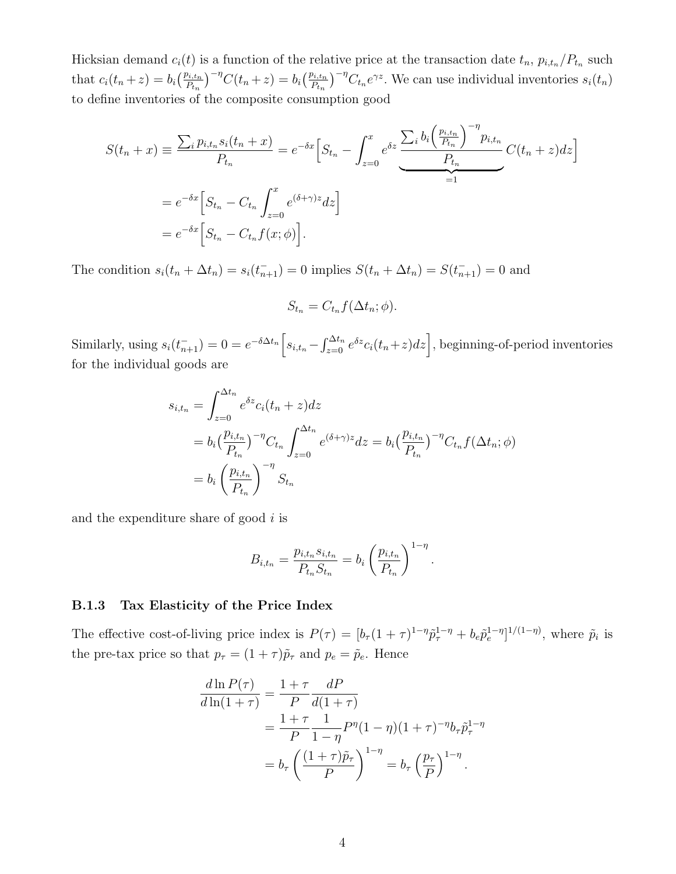Hicksian demand  $c_i(t)$  is a function of the relative price at the transaction date  $t_n$ ,  $p_{i,t_n}/P_{t_n}$  such that  $c_i(t_n + z) = b_i \left(\frac{p_{i,t_n}}{P_{t_n}}\right)^{-\eta} C(t_n + z) = b_i \left(\frac{p_{i,t_n}}{P_{t_n}}\right)^{-\eta} C_{t_n} e^{\gamma z}$ . We can use individual inventories  $s_i(t_n)$ to define inventories of the composite consumption good

$$
S(t_n + x) \equiv \frac{\sum_i p_{i,t_n} s_i(t_n + x)}{P_{t_n}} = e^{-\delta x} \Big[ S_{t_n} - \int_{z=0}^x e^{\delta z} \frac{\sum_i b_i \Big( \frac{p_{i,t_n}}{P_{t_n}} \Big)^{-\eta} p_{i,t_n}}{P_{t_n}} C(t_n + z) dz \Big]
$$
  
=  $e^{-\delta x} \Big[ S_{t_n} - C_{t_n} \int_{z=0}^x e^{(\delta + \gamma)z} dz \Big]$   
=  $e^{-\delta x} \Big[ S_{t_n} - C_{t_n} f(x; \phi) \Big].$ 

The condition  $s_i(t_n + \Delta t_n) = s_i(t_{n+1}^-) = 0$  implies  $S(t_n + \Delta t_n) = S(t_{n+1}^-) = 0$  and

$$
S_{t_n} = C_{t_n} f(\Delta t_n; \phi).
$$

Similarly, using  $s_i(t_{n+1}^-) = 0 = e^{-\delta \Delta t_n} \Big[ s_{i,t_n} - \int_{z=0}^{\Delta t_n} e^{\delta z} c_i(t_n + z) dz \Big]$ , beginning-of-period inventories for the individual goods are

$$
s_{i,t_n} = \int_{z=0}^{\Delta t_n} e^{\delta z} c_i (t_n + z) dz
$$
  
=  $b_i \left( \frac{p_{i,t_n}}{P_{t_n}} \right)^{-\eta} C_{t_n} \int_{z=0}^{\Delta t_n} e^{(\delta + \gamma)z} dz = b_i \left( \frac{p_{i,t_n}}{P_{t_n}} \right)^{-\eta} C_{t_n} f(\Delta t_n; \phi)$   
=  $b_i \left( \frac{p_{i,t_n}}{P_{t_n}} \right)^{-\eta} S_{t_n}$ 

and the expenditure share of good  $i$  is

$$
B_{i,t_n} = \frac{p_{i,t_n} s_{i,t_n}}{P_{t_n} S_{t_n}} = b_i \left(\frac{p_{i,t_n}}{P_{t_n}}\right)^{1-\eta}.
$$

#### B.1.3 Tax Elasticity of the Price Index

The effective cost-of-living price index is  $P(\tau) = [b_{\tau}(1+\tau)^{1-\eta}\tilde{p}_{\tau}^{1-\eta} + b_{e}\tilde{p}_{e}^{1-\eta}]^{1/(1-\eta)}$ , where  $\tilde{p}_{i}$  is the pre-tax price so that  $p_{\tau} = (1 + \tau)\tilde{p}_{\tau}$  and  $p_e = \tilde{p}_e$ . Hence

$$
\frac{d \ln P(\tau)}{d \ln(1+\tau)} = \frac{1+\tau}{P} \frac{dP}{d(1+\tau)} \n= \frac{1+\tau}{P} \frac{1}{1-\eta} P^{\eta} (1-\eta) (1+\tau)^{-\eta} b_{\tau} \tilde{p}_{\tau}^{1-\eta} \n= b_{\tau} \left( \frac{(1+\tau)\tilde{p}_{\tau}}{P} \right)^{1-\eta} = b_{\tau} \left( \frac{p_{\tau}}{P} \right)^{1-\eta} .
$$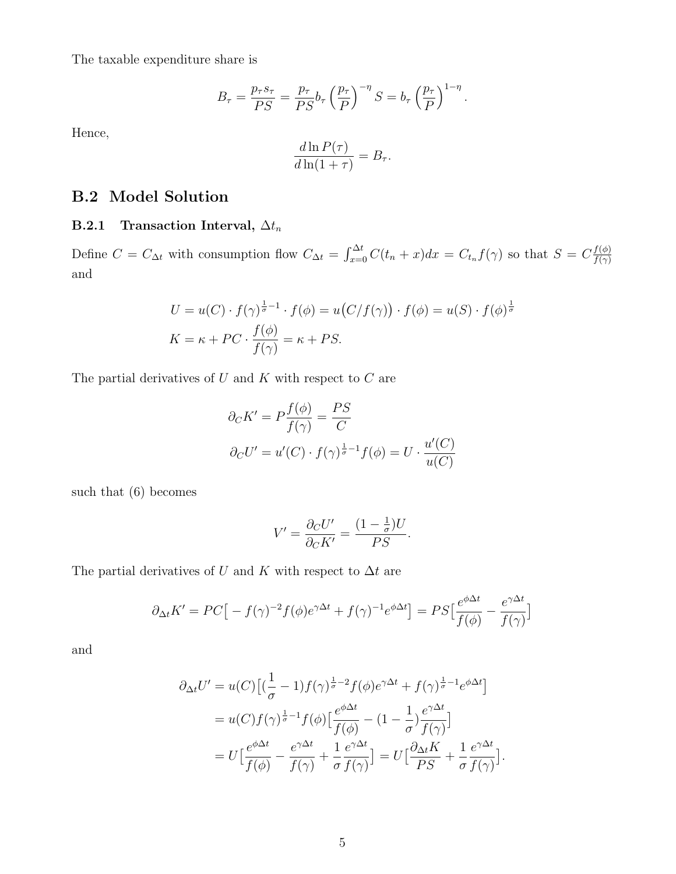The taxable expenditure share is

$$
B_{\tau} = \frac{p_{\tau} s_{\tau}}{PS} = \frac{p_{\tau}}{PS} b_{\tau} \left(\frac{p_{\tau}}{P}\right)^{-\eta} S = b_{\tau} \left(\frac{p_{\tau}}{P}\right)^{1-\eta}.
$$

Hence,

$$
\frac{d\ln P(\tau)}{d\ln(1+\tau)} = B_{\tau}.
$$

### B.2 Model Solution

### B.2.1 Transaction Interval,  $\Delta t_n$

Define  $C = C_{\Delta t}$  with consumption flow  $C_{\Delta t} = \int_{x=0}^{\Delta t} C(t_n + x) dx = C_{t_n} f(\gamma)$  so that  $S = C_{\overline{f(\gamma)}}$  $f(\gamma)$ and

$$
U = u(C) \cdot f(\gamma)^{\frac{1}{\sigma}-1} \cdot f(\phi) = u(C/f(\gamma)) \cdot f(\phi) = u(S) \cdot f(\phi)^{\frac{1}{\sigma}}
$$
  

$$
K = \kappa + PC \cdot \frac{f(\phi)}{f(\gamma)} = \kappa + PS.
$$

The partial derivatives of  $U$  and  $K$  with respect to  $C$  are

$$
\partial_C K' = P \frac{f(\phi)}{f(\gamma)} = \frac{PS}{C}
$$

$$
\partial_C U' = u'(C) \cdot f(\gamma)^{\frac{1}{\sigma}-1} f(\phi) = U \cdot \frac{u'(C)}{u(C)}
$$

such that (6) becomes

$$
V' = \frac{\partial_C U'}{\partial_C K'} = \frac{(1 - \frac{1}{\sigma})U}{PS}.
$$

The partial derivatives of U and K with respect to  $\Delta t$  are

$$
\partial_{\Delta t} K' = PC \big[ -f(\gamma)^{-2} f(\phi) e^{\gamma \Delta t} + f(\gamma)^{-1} e^{\phi \Delta t} \big] = PS \big[ \frac{e^{\phi \Delta t}}{f(\phi)} - \frac{e^{\gamma \Delta t}}{f(\gamma)} \big]
$$

and

$$
\partial_{\Delta t} U' = u(C) \left[ (\frac{1}{\sigma} - 1) f(\gamma)^{\frac{1}{\sigma} - 2} f(\phi) e^{\gamma \Delta t} + f(\gamma)^{\frac{1}{\sigma} - 1} e^{\phi \Delta t} \right]
$$
  
=  $u(C) f(\gamma)^{\frac{1}{\sigma} - 1} f(\phi) \left[ \frac{e^{\phi \Delta t}}{f(\phi)} - (1 - \frac{1}{\sigma}) \frac{e^{\gamma \Delta t}}{f(\gamma)} \right]$   
=  $U \left[ \frac{e^{\phi \Delta t}}{f(\phi)} - \frac{e^{\gamma \Delta t}}{f(\gamma)} + \frac{1}{\sigma} \frac{e^{\gamma \Delta t}}{f(\gamma)} \right] = U \left[ \frac{\partial_{\Delta t} K}{PS} + \frac{1}{\sigma} \frac{e^{\gamma \Delta t}}{f(\gamma)} \right].$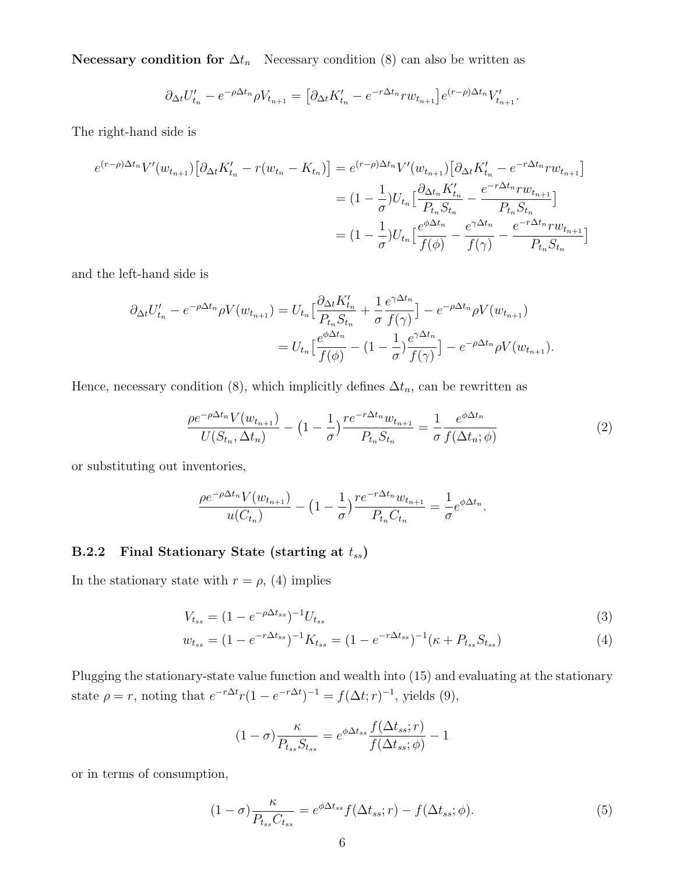Necessary condition for  $\Delta t_n$  Necessary condition (8) can also be written as

$$
\partial_{\Delta t} U'_{t_n} - e^{-\rho \Delta t_n} \rho V_{t_{n+1}} = \left[ \partial_{\Delta t} K'_{t_n} - e^{-r \Delta t_n} r w_{t_{n+1}} \right] e^{(r-\rho) \Delta t_n} V'_{t_{n+1}}.
$$

The right-hand side is

$$
e^{(r-\rho)\Delta t_n}V'(w_{t_{n+1}})\left[\partial_{\Delta t}K'_{t_n} - r(w_{t_n} - K_{t_n})\right] = e^{(r-\rho)\Delta t_n}V'(w_{t_{n+1}})\left[\partial_{\Delta t}K'_{t_n} - e^{-r\Delta t_n}rw_{t_{n+1}}\right]
$$

$$
= (1 - \frac{1}{\sigma})U_{t_n}\left[\frac{\partial_{\Delta t_n}K'_{t_n}}{P_{t_n}S_{t_n}} - \frac{e^{-r\Delta t_n}rw_{t_{n+1}}}{P_{t_n}S_{t_n}}\right]
$$

$$
= (1 - \frac{1}{\sigma})U_{t_n}\left[\frac{e^{\phi\Delta t_n}}{f(\phi)} - \frac{e^{\gamma\Delta t_n}}{f(\gamma)} - \frac{e^{-r\Delta t_n}rw_{t_{n+1}}}{P_{t_n}S_{t_n}}\right]
$$

and the left-hand side is

$$
\partial_{\Delta t} U'_{t_n} - e^{-\rho \Delta t_n} \rho V(w_{t_{n+1}}) = U_{t_n} \Big[ \frac{\partial_{\Delta t} K'_{t_n}}{P_{t_n} S_{t_n}} + \frac{1}{\sigma} \frac{e^{\gamma \Delta t_n}}{f(\gamma)} \Big] - e^{-\rho \Delta t_n} \rho V(w_{t_{n+1}})
$$
  
= 
$$
U_{t_n} \Big[ \frac{e^{\phi \Delta t_n}}{f(\phi)} - (1 - \frac{1}{\sigma}) \frac{e^{\gamma \Delta t_n}}{f(\gamma)} \Big] - e^{-\rho \Delta t_n} \rho V(w_{t_{n+1}}).
$$

Hence, necessary condition (8), which implicitly defines  $\Delta t_n$ , can be rewritten as

$$
\frac{\rho e^{-\rho \Delta t_n} V(w_{t_{n+1}})}{U(S_{t_n}, \Delta t_n)} - (1 - \frac{1}{\sigma}) \frac{r e^{-r \Delta t_n} w_{t_{n+1}}}{P_{t_n} S_{t_n}} = \frac{1}{\sigma} \frac{e^{\phi \Delta t_n}}{f(\Delta t_n; \phi)}
$$
(2)

or substituting out inventories,

$$
\frac{\rho e^{-\rho \Delta t_n} V(w_{t_{n+1}})}{u(C_{t_n})} - (1 - \frac{1}{\sigma}) \frac{r e^{-r \Delta t_n} w_{t_{n+1}}}{P_{t_n} C_{t_n}} = \frac{1}{\sigma} e^{\phi \Delta t_n}.
$$

### B.2.2 Final Stationary State (starting at  $t_{ss}$ )

In the stationary state with  $r = \rho$ , (4) implies

$$
V_{t_{ss}} = (1 - e^{-\rho \Delta t_{ss}})^{-1} U_{t_{ss}} \tag{3}
$$

$$
w_{t_{ss}} = (1 - e^{-r\Delta t_{ss}})^{-1} K_{t_{ss}} = (1 - e^{-r\Delta t_{ss}})^{-1} (\kappa + P_{t_{ss}} S_{t_{ss}})
$$
(4)

Plugging the stationary-state value function and wealth into (15) and evaluating at the stationary state  $\rho = r$ , noting that  $e^{-r\Delta t} r(1 - e^{-r\Delta t})^{-1} = f(\Delta t; r)^{-1}$ , yields (9),

$$
(1 - \sigma) \frac{\kappa}{P_{t_{ss}} S_{t_{ss}}} = e^{\phi \Delta t_{ss}} \frac{f(\Delta t_{ss}; r)}{f(\Delta t_{ss}; \phi)} - 1
$$

or in terms of consumption,

$$
(1 - \sigma) \frac{\kappa}{P_{t_{ss}} C_{t_{ss}}} = e^{\phi \Delta t_{ss}} f(\Delta t_{ss}; r) - f(\Delta t_{ss}; \phi).
$$
\n(5)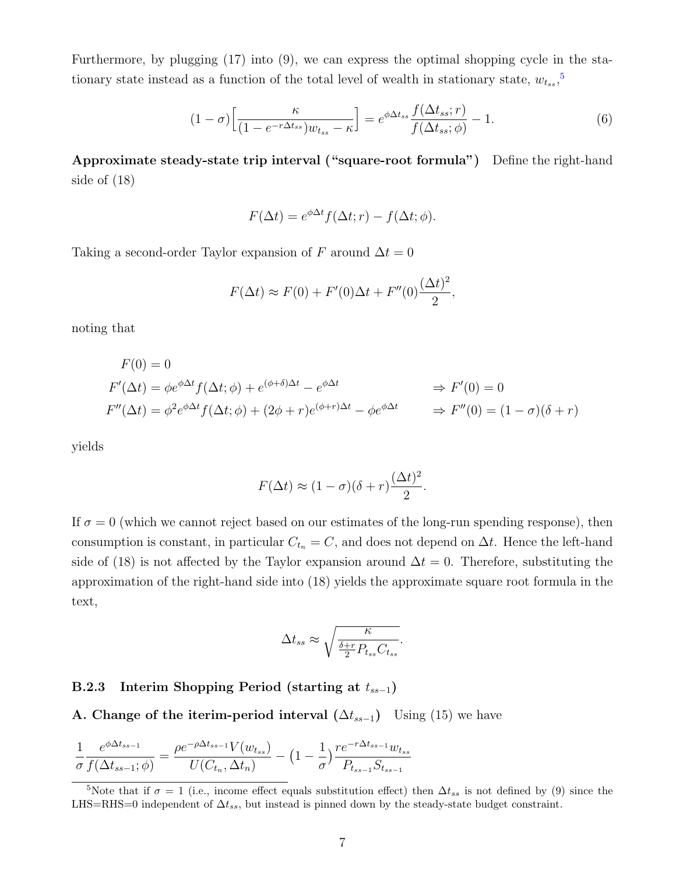Furthermore, by plugging (17) into (9), we can express the optimal shopping cycle in the stationary state instead as a function of the total level of wealth in stationary state,  $w_{tss}$ ,<sup>[5](#page-6-0)</sup>

$$
(1 - \sigma) \left[ \frac{\kappa}{(1 - e^{-r\Delta t_{ss}}) w_{t_{ss}} - \kappa} \right] = e^{\phi \Delta t_{ss}} \frac{f(\Delta t_{ss}; r)}{f(\Delta t_{ss}; \phi)} - 1.
$$
 (6)

Approximate steady-state trip interval ("square-root formula") Define the right-hand side of (18)

$$
F(\Delta t) = e^{\phi \Delta t} f(\Delta t; r) - f(\Delta t; \phi).
$$

Taking a second-order Taylor expansion of F around  $\Delta t = 0$ 

$$
F(\Delta t) \approx F(0) + F'(0)\Delta t + F''(0)\frac{(\Delta t)^2}{2},
$$

noting that

$$
F(0) = 0
$$
  
\n
$$
F'(\Delta t) = \phi e^{\phi \Delta t} f(\Delta t; \phi) + e^{(\phi + \delta)\Delta t} - e^{\phi \Delta t} \implies F'(0) = 0
$$
  
\n
$$
F''(\Delta t) = \phi^2 e^{\phi \Delta t} f(\Delta t; \phi) + (2\phi + r)e^{(\phi + r)\Delta t} - \phi e^{\phi \Delta t} \implies F''(0) = (1 - \sigma)(\delta + r)
$$

yields

$$
F(\Delta t) \approx (1 - \sigma)(\delta + r)\frac{(\Delta t)^2}{2}.
$$

If  $\sigma = 0$  (which we cannot reject based on our estimates of the long-run spending response), then consumption is constant, in particular  $C_{t_n} = C$ , and does not depend on  $\Delta t$ . Hence the left-hand side of (18) is not affected by the Taylor expansion around  $\Delta t = 0$ . Therefore, substituting the approximation of the right-hand side into (18) yields the approximate square root formula in the text,

$$
\Delta t_{ss} \approx \sqrt{\frac{\kappa}{\frac{\delta+r}{2}P_{t_{ss}}C_{t_{ss}}} }.
$$

#### B.2.3 Interim Shopping Period (starting at  $t_{ss-1}$ )

A. Change of the iterim-period interval  $(\Delta t_{ss-1})$  Using (15) we have

$$
\frac{1}{\sigma} \frac{e^{\phi \Delta t_{ss-1}}}{f(\Delta t_{ss-1}; \phi)} = \frac{\rho e^{-\rho \Delta t_{ss-1}} V(w_{t_{ss}})}{U(C_{t_n}, \Delta t_n)} - (1 - \frac{1}{\sigma}) \frac{r e^{-r \Delta t_{ss-1}} w_{t_{ss}}}{P_{t_{ss-1}} S_{t_{ss-1}}}
$$

<span id="page-6-0"></span><sup>&</sup>lt;sup>5</sup>Note that if  $\sigma = 1$  (i.e., income effect equals substitution effect) then  $\Delta t_{ss}$  is not defined by (9) since the LHS=RHS=0 independent of  $\Delta t_{ss}$ , but instead is pinned down by the steady-state budget constraint.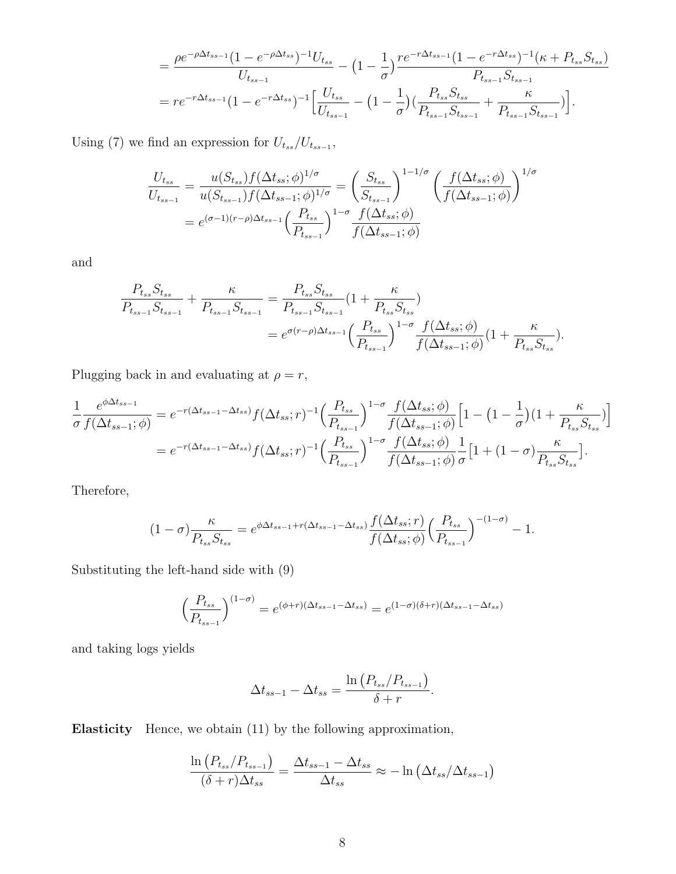$$
= \frac{\rho e^{-\rho \Delta t_{ss-1}} (1 - e^{-\rho \Delta t_{ss}})^{-1} U_{t_{ss}}}{U_{t_{ss-1}}} - (1 - \frac{1}{\sigma}) \frac{r e^{-r \Delta t_{ss-1}} (1 - e^{-r \Delta t_{ss}})^{-1} (\kappa + P_{t_{ss}} S_{t_{ss}})}{P_{t_{ss-1}} S_{t_{ss-1}}}
$$

$$
= r e^{-r \Delta t_{ss-1}} (1 - e^{-r \Delta t_{ss}})^{-1} \Big[ \frac{U_{t_{ss}}}{U_{t_{ss-1}}} - (1 - \frac{1}{\sigma}) \Big( \frac{P_{t_{ss}} S_{t_{ss}}}{P_{t_{ss-1}} S_{t_{ss-1}}} + \frac{\kappa}{P_{t_{ss-1}} S_{t_{ss-1}}} \Big) \Big].
$$

Using (7) we find an expression for  $U_{tss}/U_{tss-1}$ ,

$$
\frac{U_{t_{ss}}}{U_{t_{ss-1}}} = \frac{u(S_{t_{ss}})f(\Delta t_{ss};\phi)^{1/\sigma}}{u(S_{t_{ss-1}})f(\Delta t_{ss-1};\phi)^{1/\sigma}} = \left(\frac{S_{t_{ss}}}{S_{t_{ss-1}}}\right)^{1-1/\sigma} \left(\frac{f(\Delta t_{ss};\phi)}{f(\Delta t_{ss-1};\phi)}\right)^{1/\sigma}
$$

$$
= e^{(\sigma-1)(r-\rho)\Delta t_{ss-1}} \left(\frac{P_{t_{ss}}}{P_{t_{ss-1}}}\right)^{1-\sigma} \frac{f(\Delta t_{ss};\phi)}{f(\Delta t_{ss-1};\phi)}
$$

and

$$
\frac{P_{t_{ss}}S_{t_{ss}}}{P_{t_{ss-1}}S_{t_{ss-1}}} + \frac{\kappa}{P_{t_{ss-1}}S_{t_{ss-1}}} = \frac{P_{t_{ss}}S_{t_{ss}}}{P_{t_{ss-1}}S_{t_{ss-1}}} \left(1 + \frac{\kappa}{P_{t_{ss}}S_{t_{ss}}}\right)
$$
\n
$$
= e^{\sigma(r-\rho)\Delta t_{ss-1}} \left(\frac{P_{t_{ss}}}{P_{t_{ss-1}}}\right)^{1-\sigma} \frac{f(\Delta t_{ss};\phi)}{f(\Delta t_{ss-1};\phi)} \left(1 + \frac{\kappa}{P_{t_{ss}}S_{t_{ss}}}\right).
$$

Plugging back in and evaluating at  $\rho=r,$ 

$$
\frac{1}{\sigma} \frac{e^{\phi \Delta t_{ss-1}}}{f(\Delta t_{ss-1}; \phi)} = e^{-r(\Delta t_{ss-1} - \Delta t_{ss})} f(\Delta t_{ss}; r)^{-1} \left(\frac{P_{t_{ss}}}{P_{t_{ss-1}}}\right)^{1-\sigma} \frac{f(\Delta t_{ss}; \phi)}{f(\Delta t_{ss-1}; \phi)} \left[1 - \left(1 - \frac{1}{\sigma}\right)\left(1 + \frac{\kappa}{P_{t_{ss}}S_{t_{ss}}}\right)\right]
$$
\n
$$
= e^{-r(\Delta t_{ss-1} - \Delta t_{ss})} f(\Delta t_{ss}; r)^{-1} \left(\frac{P_{t_{ss}}}{P_{t_{ss-1}}}\right)^{1-\sigma} \frac{f(\Delta t_{ss}; \phi)}{f(\Delta t_{ss-1}; \phi)} \frac{1}{\sigma} \left[1 + \left(1 - \sigma\right) \frac{\kappa}{P_{t_{ss}}S_{t_{ss}}}\right].
$$

Therefore,

$$
(1-\sigma)\frac{\kappa}{P_{t_{ss}}S_{t_{ss}}} = e^{\phi \Delta t_{ss-1} + r(\Delta t_{ss-1} - \Delta t_{ss})} \frac{f(\Delta t_{ss};r)}{f(\Delta t_{ss};\phi)} \left(\frac{P_{t_{ss}}}{P_{t_{ss-1}}}\right)^{-(1-\sigma)} - 1.
$$

Substituting the left-hand side with (9)

$$
\left(\frac{P_{t_{ss}}}{P_{t_{ss-1}}}\right)^{(1-\sigma)} = e^{(\phi+r)(\Delta t_{ss-1} - \Delta t_{ss})} = e^{(1-\sigma)(\delta+r)(\Delta t_{ss-1} - \Delta t_{ss})}
$$

and taking logs yields

$$
\Delta t_{ss-1} - \Delta t_{ss} = \frac{\ln (P_{t_{ss}}/P_{t_{ss-1}})}{\delta + r}.
$$

Elasticity Hence, we obtain (11) by the following approximation,

$$
\frac{\ln\left(P_{t_{ss}}/P_{t_{ss-1}}\right)}{(\delta+r)\Delta t_{ss}} = \frac{\Delta t_{ss-1} - \Delta t_{ss}}{\Delta t_{ss}} \approx -\ln\left(\Delta t_{ss}/\Delta t_{ss-1}\right)
$$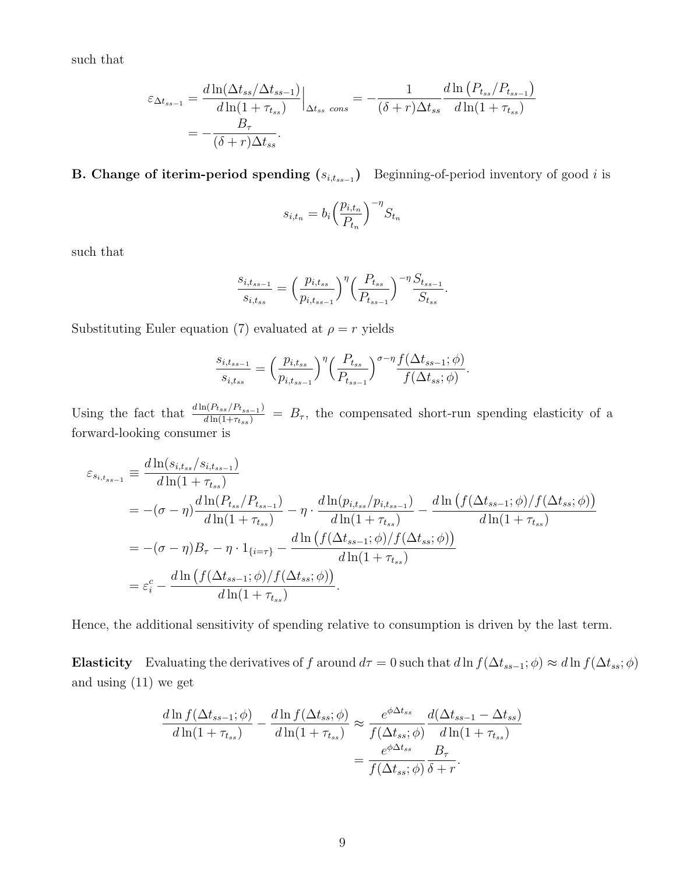such that

$$
\varepsilon_{\Delta t_{ss-1}} = \frac{d \ln(\Delta t_{ss}/\Delta t_{ss-1})}{d \ln(1 + \tau_{ts})} \Big|_{\Delta t_{ss} \text{ cons}} = -\frac{1}{(\delta + r)\Delta t_{ss}} \frac{d \ln(P_{t_{ss}}/P_{t_{ss-1}})}{d \ln(1 + \tau_{ts})}
$$

$$
= -\frac{B_{\tau}}{(\delta + r)\Delta t_{ss}}.
$$

#### **B.** Change of iterim-period spending  $(s_{i,t_{ss-1}})$  Beginning-of-period inventory of good i is

$$
s_{i,t_n} = b_i \left(\frac{p_{i,t_n}}{P_{t_n}}\right)^{-\eta} S_{t_n}
$$

such that

$$
\frac{s_{i,t_{ss-1}}}{s_{i,t_{ss}}} = \left(\frac{p_{i,t_{ss}}}{p_{i,t_{ss-1}}}\right)^{\eta} \left(\frac{P_{t_{ss}}}{P_{t_{ss-1}}}\right)^{-\eta} \frac{S_{t_{ss-1}}}{S_{t_{ss}}}.
$$

Substituting Euler equation (7) evaluated at  $\rho = r$  yields

$$
\frac{s_{i,t_{ss-1}}}{s_{i,t_{ss}}} = \left(\frac{p_{i,t_{ss}}}{p_{i,t_{ss-1}}}\right)^{\eta} \left(\frac{P_{t_{ss}}}{P_{t_{ss-1}}}\right)^{\sigma-\eta} \frac{f(\Delta t_{ss-1};\phi)}{f(\Delta t_{ss};\phi)}.
$$

Using the fact that  $\frac{d \ln(P_{tss}/P_{tss-1})}{d \ln(1+\tau_{tss})} = B_{\tau}$ , the compensated short-run spending elasticity of a forward-looking consumer is

$$
\varepsilon_{s_{i,t_{ss}-1}} \equiv \frac{d \ln(s_{i,t_{ss}}/s_{i,t_{ss}-1})}{d \ln(1+\tau_{ts})} \n= -(\sigma - \eta) \frac{d \ln(P_{t_{ss}}/P_{t_{ss}-1})}{d \ln(1+\tau_{ts})} - \eta \cdot \frac{d \ln(p_{i,t_{ss}}/p_{i,t_{ss}-1})}{d \ln(1+\tau_{ts})} - \frac{d \ln(f(\Delta t_{ss}-1;\phi)/f(\Delta t_{ss};\phi))}{d \ln(1+\tau_{ts})} \n= -(\sigma - \eta)B_{\tau} - \eta \cdot 1_{\{i=\tau\}} - \frac{d \ln(f(\Delta t_{ss}-1;\phi)/f(\Delta t_{ss};\phi))}{d \ln(1+\tau_{ts})} \n= \varepsilon_{i}^{c} - \frac{d \ln(f(\Delta t_{ss}-1;\phi)/f(\Delta t_{ss};\phi))}{d \ln(1+\tau_{ts})}.
$$

Hence, the additional sensitivity of spending relative to consumption is driven by the last term.

Elasticity Evaluating the derivatives of f around  $d\tau = 0$  such that  $d\ln f(\Delta t_{ss-1}; \phi) \approx d\ln f(\Delta t_{ss}; \phi)$ and using (11) we get

$$
\frac{d \ln f(\Delta t_{ss-1}; \phi)}{d \ln(1 + \tau_{ts})} - \frac{d \ln f(\Delta t_{ss}; \phi)}{d \ln(1 + \tau_{ts})} \approx \frac{e^{\phi \Delta t_{ss}}}{f(\Delta t_{ss}; \phi)} \frac{d(\Delta t_{ss-1} - \Delta t_{ss})}{d \ln(1 + \tau_{ts})}
$$

$$
= \frac{e^{\phi \Delta t_{ss}}}{f(\Delta t_{ss}; \phi)} \frac{B_{\tau}}{\delta + r}.
$$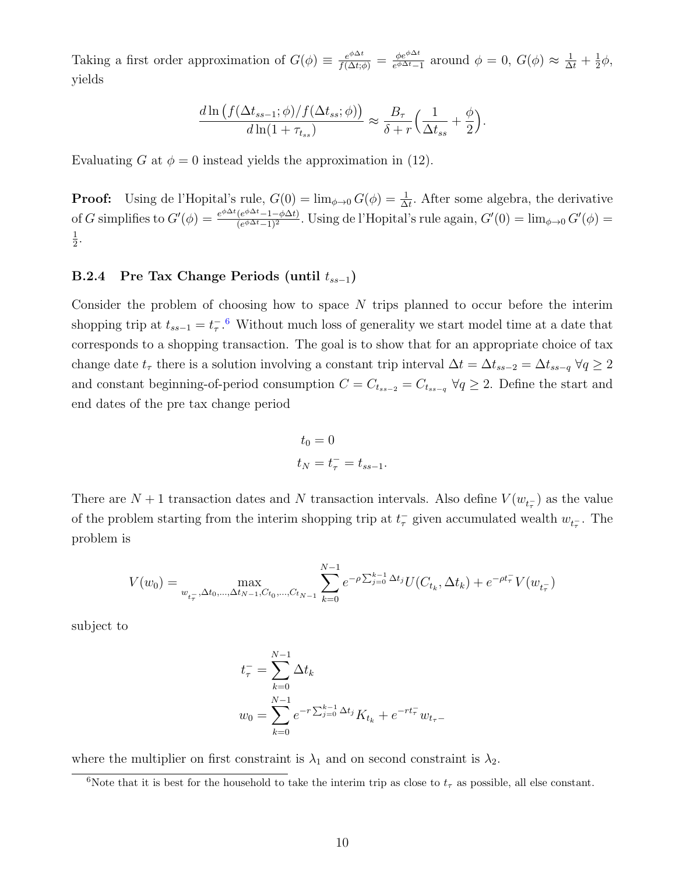Taking a first order approximation of  $G(\phi) \equiv \frac{e^{\phi \Delta t}}{f(\Delta t; \phi)} = \frac{\phi e^{\phi \Delta t}}{e^{\phi \Delta t}}$  $\frac{\phi e^{\phi \Delta t}}{e^{\phi \Delta t} - 1}$  around  $\phi = 0$ ,  $G(\phi) \approx \frac{1}{\Delta t} + \frac{1}{2}$  $rac{1}{2}\phi,$ yields

$$
\frac{d \ln \left( f(\Delta t_{ss-1}; \phi) / f(\Delta t_{ss}; \phi) \right)}{d \ln(1 + \tau_{ts})} \approx \frac{B_{\tau}}{\delta + r} \left( \frac{1}{\Delta t_{ss}} + \frac{\phi}{2} \right).
$$

Evaluating G at  $\phi = 0$  instead yields the approximation in (12).

**Proof:** Using de l'Hopital's rule,  $G(0) = \lim_{\phi \to 0} G(\phi) = \frac{1}{\Delta t}$ . After some algebra, the derivative of G simplifies to  $G'(\phi) = \frac{e^{\phi \Delta t} (e^{\phi \Delta t} - 1 - \phi \Delta t)}{(e^{\phi \Delta t} - 1)^2}$  $\frac{(e^{\varphi\Delta t}-1-\phi\Delta t)}{(e^{\phi\Delta t}-1)^2}$ . Using de l'Hopital's rule again,  $G'(0) = \lim_{\phi\to 0} G'(\phi) =$ 1  $\frac{1}{2}$ .

#### B.2.4 Pre Tax Change Periods (until  $t_{ss-1}$ )

Consider the problem of choosing how to space N trips planned to occur before the interim shopping trip at  $t_{ss-1} = t_{\tau}^{-.6}$  $t_{ss-1} = t_{\tau}^{-.6}$  $t_{ss-1} = t_{\tau}^{-.6}$  Without much loss of generality we start model time at a date that corresponds to a shopping transaction. The goal is to show that for an appropriate choice of tax change date  $t_{\tau}$  there is a solution involving a constant trip interval  $\Delta t = \Delta t_{ss-2} = \Delta t_{ss-q}$   $\forall q \geq 2$ and constant beginning-of-period consumption  $C = C_{t_{ss-2}} = C_{t_{ss-q}} \ \forall q \geq 2$ . Define the start and end dates of the pre tax change period

$$
t_0 = 0
$$
  

$$
t_N = t_\tau^- = t_{ss-1}.
$$

There are  $N+1$  transaction dates and N transaction intervals. Also define  $V(w_{t_{\tau}})$  as the value of the problem starting from the interim shopping trip at  $t_{\tau}^-$  given accumulated wealth  $w_{t_{\tau}^-}$ . The problem is

$$
V(w_0) = \max_{w_{t_\tau}, \Delta t_0, \dots, \Delta t_{N-1}, C_{t_0}, \dots, C_{t_{N-1}}} \sum_{k=0}^{N-1} e^{-\rho \sum_{j=0}^{k-1} \Delta t_j} U(C_{t_k}, \Delta t_k) + e^{-\rho t_\tau} V(w_{t_\tau})
$$

subject to

$$
t_{\tau}^{-} = \sum_{k=0}^{N-1} \Delta t_k
$$
  

$$
w_0 = \sum_{k=0}^{N-1} e^{-r \sum_{j=0}^{k-1} \Delta t_j} K_{t_k} + e^{-rt_{\tau}^{-}} w_{t_{\tau}-}
$$

where the multiplier on first constraint is  $\lambda_1$  and on second constraint is  $\lambda_2$ .

<span id="page-9-0"></span><sup>&</sup>lt;sup>6</sup>Note that it is best for the household to take the interim trip as close to  $t<sub>\tau</sub>$  as possible, all else constant.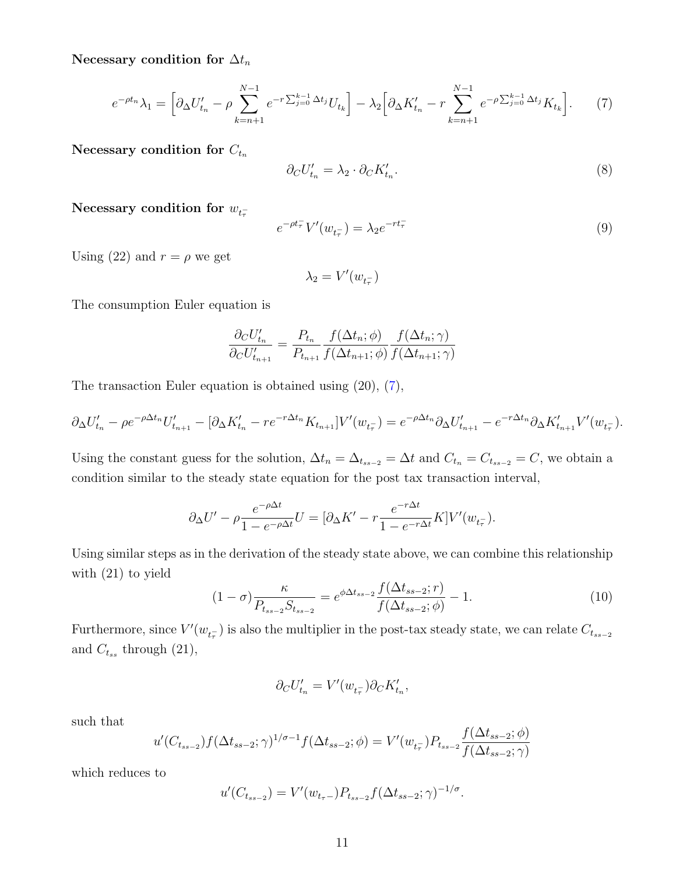Necessary condition for  $\Delta t_n$ 

$$
e^{-\rho t_n}\lambda_1 = \left[\partial_{\Delta} U'_{t_n} - \rho \sum_{k=n+1}^{N-1} e^{-r \sum_{j=0}^{k-1} \Delta t_j} U_{t_k}\right] - \lambda_2 \left[\partial_{\Delta} K'_{t_n} - r \sum_{k=n+1}^{N-1} e^{-\rho \sum_{j=0}^{k-1} \Delta t_j} K_{t_k}\right].
$$
 (7)

Necessary condition for  $C_{t_n}$ 

<span id="page-10-0"></span>
$$
\partial_C U'_{t_n} = \lambda_2 \cdot \partial_C K'_{t_n}.\tag{8}
$$

Necessary condition for  $w_{t_{\tau}^-}$ 

$$
e^{-\rho t_{\tau}^{-}} V'(w_{t_{\tau}^{-}}) = \lambda_2 e^{-rt_{\tau}^{-}} \tag{9}
$$

Using (22) and  $r = \rho$  we get

$$
\lambda_2=V'(w_{t_\tau^-})
$$

The consumption Euler equation is

$$
\frac{\partial_C U'_{t_n}}{\partial_C U'_{t_{n+1}}} = \frac{P_{t_n}}{P_{t_{n+1}}} \frac{f(\Delta t_n; \phi)}{f(\Delta t_{n+1}; \phi)} \frac{f(\Delta t_n; \gamma)}{f(\Delta t_{n+1}; \gamma)}
$$

The transaction Euler equation is obtained using (20), [\(7\)](#page-10-0),

$$
\partial_{\Delta} U'_{t_n} - \rho e^{-\rho \Delta t_n} U'_{t_{n+1}} - [\partial_{\Delta} K'_{t_n} - r e^{-r \Delta t_n} K_{t_{n+1}}] V'(w_{t_n}) = e^{-\rho \Delta t_n} \partial_{\Delta} U'_{t_{n+1}} - e^{-r \Delta t_n} \partial_{\Delta} K'_{t_{n+1}} V'(w_{t_n}).
$$

Using the constant guess for the solution,  $\Delta t_n = \Delta_{t_{ss-2}} = \Delta t$  and  $C_{t_n} = C_{t_{ss-2}} = C$ , we obtain a condition similar to the steady state equation for the post tax transaction interval,

$$
\partial_{\Delta} U' - \rho \frac{e^{-\rho \Delta t}}{1 - e^{-\rho \Delta t}} U = [\partial_{\Delta} K' - r \frac{e^{-r \Delta t}}{1 - e^{-r \Delta t}} K] V'(w_{t_{\tau}}).
$$

Using similar steps as in the derivation of the steady state above, we can combine this relationship with (21) to yield  $f(\Delta t)$ 

$$
(1 - \sigma) \frac{\kappa}{P_{t_{ss-2}} S_{t_{ss-2}}} = e^{\phi \Delta t_{ss-2}} \frac{f(\Delta t_{ss-2}; r)}{f(\Delta t_{ss-2}; \phi)} - 1.
$$
 (10)

Furthermore, since  $V'(w_{t_{\tau}})$  is also the multiplier in the post-tax steady state, we can relate  $C_{t_{ss-2}}$ and  $C_{t_{ss}}$  through  $(21)$ ,

$$
\partial_C U'_{t_n}=V'(w_{t_\tau^-})\partial_C K'_{t_n},
$$

such that

$$
u'(C_{t_{ss-2}})f(\Delta t_{ss-2};\gamma)^{1/\sigma-1}f(\Delta t_{ss-2};\phi) = V'(w_{t_{\tau}})P_{t_{ss-2}}\frac{f(\Delta t_{ss-2};\phi)}{f(\Delta t_{ss-2};\gamma)}
$$

which reduces to

$$
u'(C_{t_{ss-2}}) = V'(w_{t_{\tau}-})P_{t_{ss-2}}f(\Delta t_{ss-2};\gamma)^{-1/\sigma}.
$$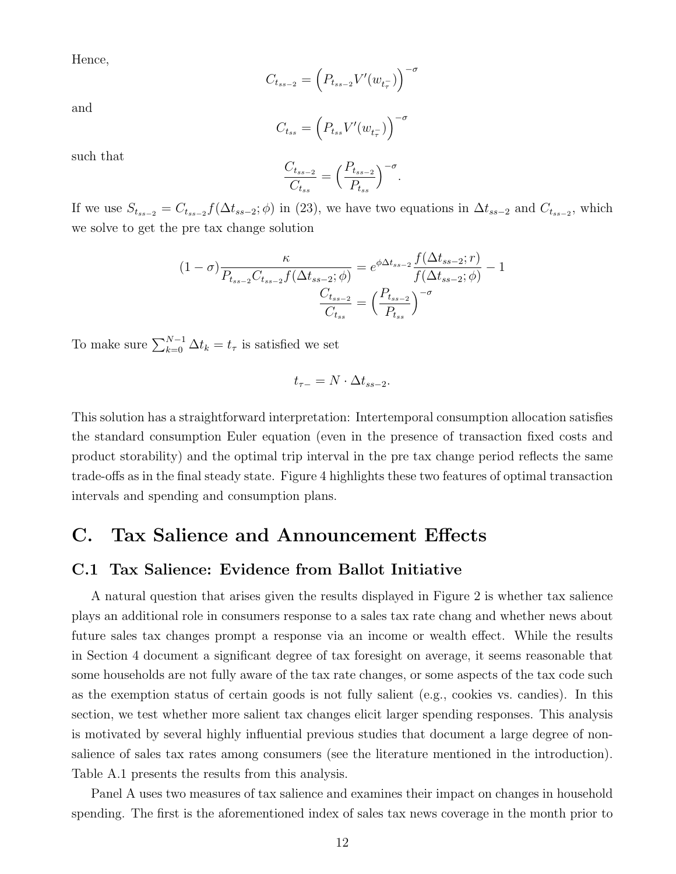Hence,

$$
C_{t_{ss-2}} = \left(P_{t_{ss-2}}V'(w_{t_\tau^-})\right)^{-\sigma}
$$

and

$$
C_{t_{ss}} = \left(P_{t_{ss}}V'(w_{t_{\tau}^-})\right)^{-\sigma}
$$

such that

$$
\frac{C_{t_{ss-2}}}{C_{t_{ss}}} = \left(\frac{P_{t_{ss-2}}}{P_{t_{ss}}}\right)^{-\sigma}.
$$

If we use  $S_{t_{ss-2}} = C_{t_{ss-2}} f(\Delta t_{ss-2}; \phi)$  in (23), we have two equations in  $\Delta t_{ss-2}$  and  $C_{t_{ss-2}}$ , which we solve to get the pre tax change solution

$$
(1 - \sigma) \frac{\kappa}{P_{t_{ss-2}} C_{t_{ss-2}} f(\Delta t_{ss-2}; \phi)} = e^{\phi \Delta t_{ss-2}} \frac{f(\Delta t_{ss-2}; r)}{f(\Delta t_{ss-2}; \phi)} - 1
$$

$$
\frac{C_{t_{ss-2}}}{C_{t_{ss}}} = \left(\frac{P_{t_{ss-2}}}{P_{t_{ss}}}\right)^{-\sigma}
$$

To make sure  $\sum_{k=0}^{N-1} \Delta t_k = t_\tau$  is satisfied we set

$$
t_{\tau-}=N\cdot\Delta t_{ss-2}.
$$

This solution has a straightforward interpretation: Intertemporal consumption allocation satisfies the standard consumption Euler equation (even in the presence of transaction fixed costs and product storability) and the optimal trip interval in the pre tax change period reflects the same trade-offs as in the final steady state. Figure 4 highlights these two features of optimal transaction intervals and spending and consumption plans.

## C. Tax Salience and Announcement Effects

#### C.1 Tax Salience: Evidence from Ballot Initiative

A natural question that arises given the results displayed in Figure 2 is whether tax salience plays an additional role in consumers response to a sales tax rate chang and whether news about future sales tax changes prompt a response via an income or wealth effect. While the results in Section 4 document a significant degree of tax foresight on average, it seems reasonable that some households are not fully aware of the tax rate changes, or some aspects of the tax code such as the exemption status of certain goods is not fully salient (e.g., cookies vs. candies). In this section, we test whether more salient tax changes elicit larger spending responses. This analysis is motivated by several highly influential previous studies that document a large degree of nonsalience of sales tax rates among consumers (see the literature mentioned in the introduction). Table A.1 presents the results from this analysis.

Panel A uses two measures of tax salience and examines their impact on changes in household spending. The first is the aforementioned index of sales tax news coverage in the month prior to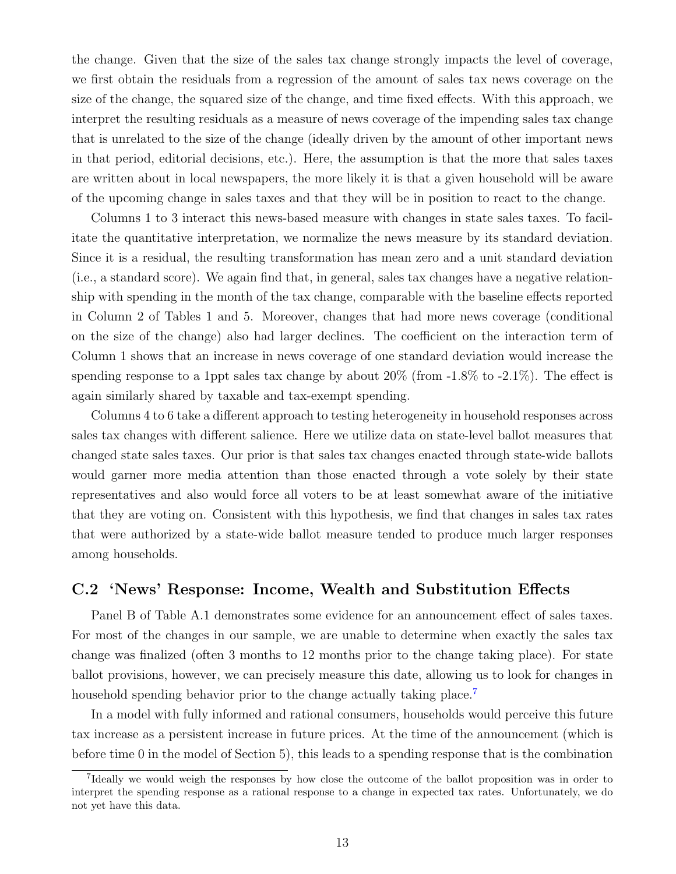the change. Given that the size of the sales tax change strongly impacts the level of coverage, we first obtain the residuals from a regression of the amount of sales tax news coverage on the size of the change, the squared size of the change, and time fixed effects. With this approach, we interpret the resulting residuals as a measure of news coverage of the impending sales tax change that is unrelated to the size of the change (ideally driven by the amount of other important news in that period, editorial decisions, etc.). Here, the assumption is that the more that sales taxes are written about in local newspapers, the more likely it is that a given household will be aware of the upcoming change in sales taxes and that they will be in position to react to the change.

Columns 1 to 3 interact this news-based measure with changes in state sales taxes. To facilitate the quantitative interpretation, we normalize the news measure by its standard deviation. Since it is a residual, the resulting transformation has mean zero and a unit standard deviation (i.e., a standard score). We again find that, in general, sales tax changes have a negative relationship with spending in the month of the tax change, comparable with the baseline effects reported in Column 2 of Tables 1 and 5. Moreover, changes that had more news coverage (conditional on the size of the change) also had larger declines. The coefficient on the interaction term of Column 1 shows that an increase in news coverage of one standard deviation would increase the spending response to a 1ppt sales tax change by about  $20\%$  (from  $-1.8\%$  to  $-2.1\%$ ). The effect is again similarly shared by taxable and tax-exempt spending.

Columns 4 to 6 take a different approach to testing heterogeneity in household responses across sales tax changes with different salience. Here we utilize data on state-level ballot measures that changed state sales taxes. Our prior is that sales tax changes enacted through state-wide ballots would garner more media attention than those enacted through a vote solely by their state representatives and also would force all voters to be at least somewhat aware of the initiative that they are voting on. Consistent with this hypothesis, we find that changes in sales tax rates that were authorized by a state-wide ballot measure tended to produce much larger responses among households.

#### C.2 'News' Response: Income, Wealth and Substitution Effects

Panel B of Table A.1 demonstrates some evidence for an announcement effect of sales taxes. For most of the changes in our sample, we are unable to determine when exactly the sales tax change was finalized (often 3 months to 12 months prior to the change taking place). For state ballot provisions, however, we can precisely measure this date, allowing us to look for changes in household spending behavior prior to the change actually taking place.<sup>[7](#page-12-0)</sup>

In a model with fully informed and rational consumers, households would perceive this future tax increase as a persistent increase in future prices. At the time of the announcement (which is before time 0 in the model of Section 5), this leads to a spending response that is the combination

<span id="page-12-0"></span><sup>&</sup>lt;sup>7</sup>Ideally we would weigh the responses by how close the outcome of the ballot proposition was in order to interpret the spending response as a rational response to a change in expected tax rates. Unfortunately, we do not yet have this data.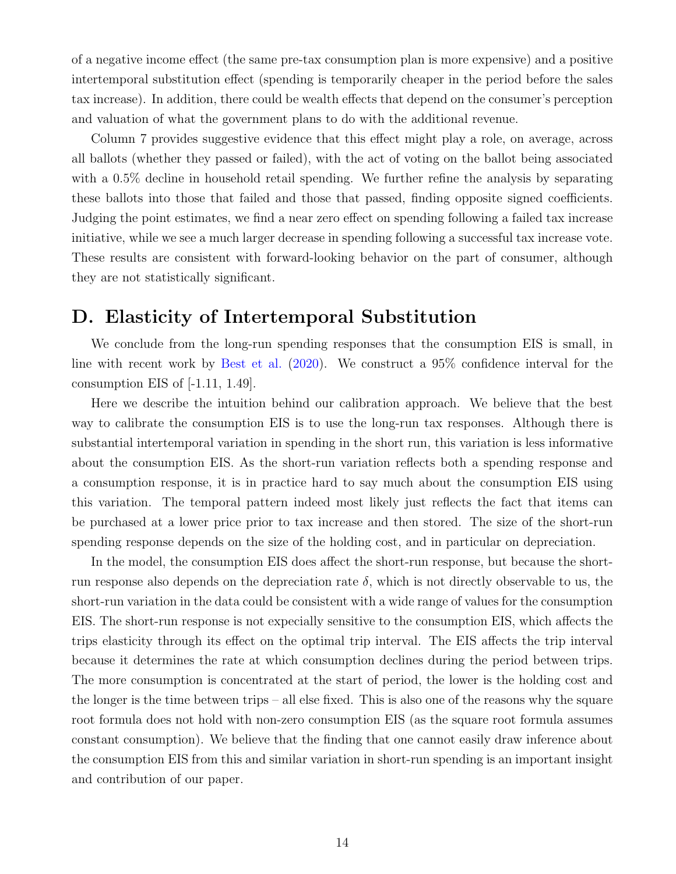of a negative income effect (the same pre-tax consumption plan is more expensive) and a positive intertemporal substitution effect (spending is temporarily cheaper in the period before the sales tax increase). In addition, there could be wealth effects that depend on the consumer's perception and valuation of what the government plans to do with the additional revenue.

Column 7 provides suggestive evidence that this effect might play a role, on average, across all ballots (whether they passed or failed), with the act of voting on the ballot being associated with a 0.5% decline in household retail spending. We further refine the analysis by separating these ballots into those that failed and those that passed, finding opposite signed coefficients. Judging the point estimates, we find a near zero effect on spending following a failed tax increase initiative, while we see a much larger decrease in spending following a successful tax increase vote. These results are consistent with forward-looking behavior on the part of consumer, although they are not statistically significant.

### D. Elasticity of Intertemporal Substitution

We conclude from the long-run spending responses that the consumption EIS is small, in line with recent work by [Best et al.](#page-14-1) [\(2020\)](#page-14-1). We construct a 95% confidence interval for the consumption EIS of  $[-1.11, 1.49]$ .

Here we describe the intuition behind our calibration approach. We believe that the best way to calibrate the consumption EIS is to use the long-run tax responses. Although there is substantial intertemporal variation in spending in the short run, this variation is less informative about the consumption EIS. As the short-run variation reflects both a spending response and a consumption response, it is in practice hard to say much about the consumption EIS using this variation. The temporal pattern indeed most likely just reflects the fact that items can be purchased at a lower price prior to tax increase and then stored. The size of the short-run spending response depends on the size of the holding cost, and in particular on depreciation.

In the model, the consumption EIS does affect the short-run response, but because the shortrun response also depends on the depreciation rate  $\delta$ , which is not directly observable to us, the short-run variation in the data could be consistent with a wide range of values for the consumption EIS. The short-run response is not expecially sensitive to the consumption EIS, which affects the trips elasticity through its effect on the optimal trip interval. The EIS affects the trip interval because it determines the rate at which consumption declines during the period between trips. The more consumption is concentrated at the start of period, the lower is the holding cost and the longer is the time between trips – all else fixed. This is also one of the reasons why the square root formula does not hold with non-zero consumption EIS (as the square root formula assumes constant consumption). We believe that the finding that one cannot easily draw inference about the consumption EIS from this and similar variation in short-run spending is an important insight and contribution of our paper.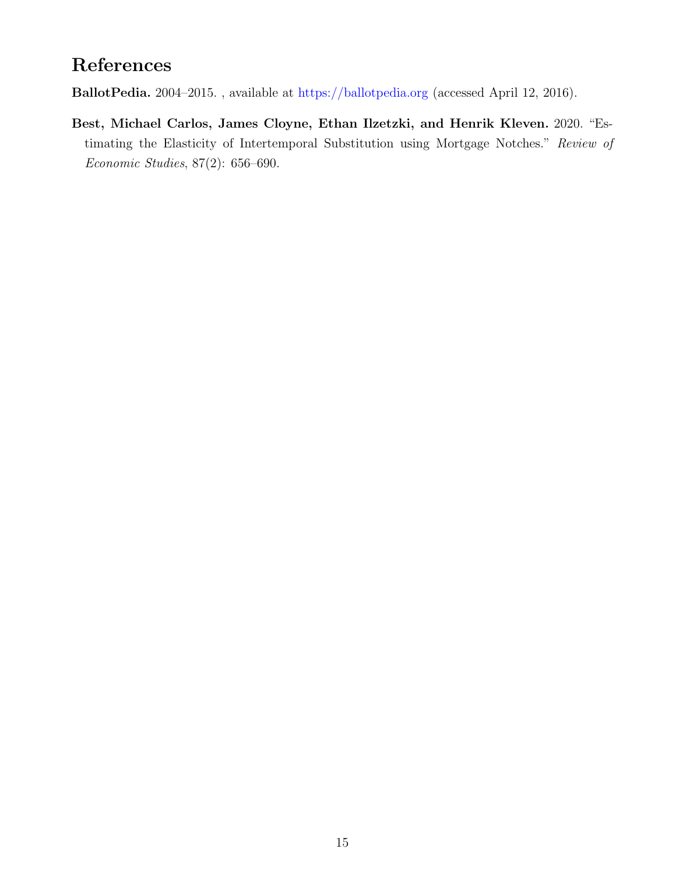# References

<span id="page-14-0"></span>BallotPedia. 2004–2015. , available at [https://ballotpedia.org]( https://ballotpedia.org ) (accessed April 12, 2016).

<span id="page-14-1"></span>Best, Michael Carlos, James Cloyne, Ethan Ilzetzki, and Henrik Kleven. 2020. "Estimating the Elasticity of Intertemporal Substitution using Mortgage Notches." Review of Economic Studies, 87(2): 656–690.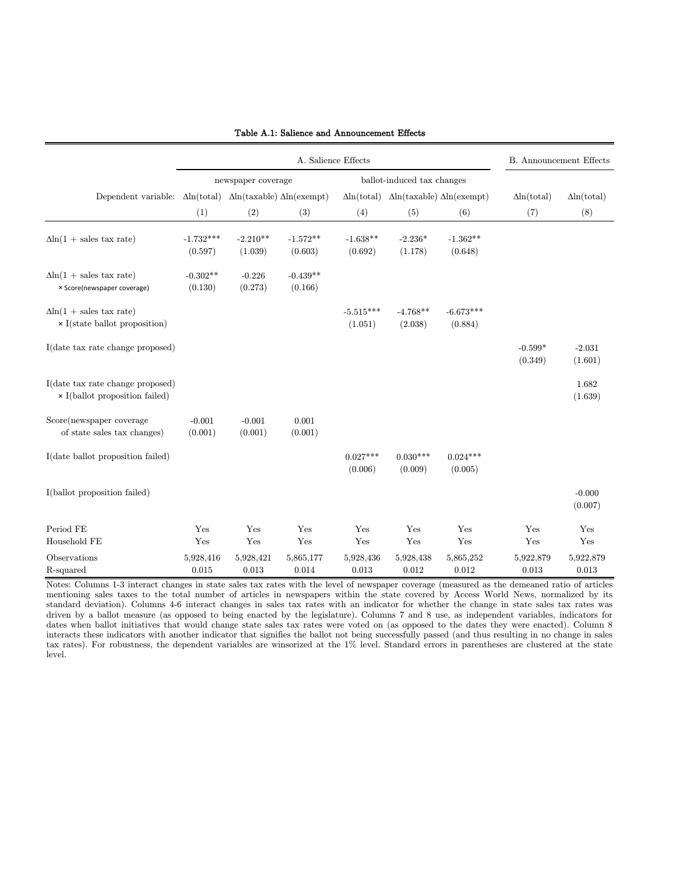|                                                                             |                                          |                       | <b>B.</b> Announcement Effects |                        |                                                             |                        |                      |                     |
|-----------------------------------------------------------------------------|------------------------------------------|-----------------------|--------------------------------|------------------------|-------------------------------------------------------------|------------------------|----------------------|---------------------|
|                                                                             | newspaper coverage                       |                       |                                |                        | ballot-induced tax changes                                  |                        |                      |                     |
| Dependent variable: $\Delta \ln(\text{total})$                              | $\Delta$ ln(taxable) $\Delta$ ln(exempt) |                       |                                |                        | $\Delta$ ln(total) $\Delta$ ln(taxable) $\Delta$ ln(exempt) |                        | $\Delta$ ln(total)   | $\Delta$ ln(total)  |
|                                                                             | (1)                                      | (2)                   | (3)                            | (4)                    | (5)                                                         | (6)                    | (7)                  | (8)                 |
| $\Delta$ ln(1 + sales tax rate)                                             | $-1.732***$<br>(0.597)                   | $-2.210**$<br>(1.039) | $-1.572**$<br>(0.603)          | $-1.638**$<br>(0.692)  | $-2.236*$<br>(1.178)                                        | $-1.362**$<br>(0.648)  |                      |                     |
| $\Delta$ ln(1 + sales tax rate)<br>× Score(newspaper coverage)              | $-0.302**$<br>(0.130)                    | $-0.226$<br>(0.273)   | $-0.439**$<br>(0.166)          |                        |                                                             |                        |                      |                     |
| $\Delta$ ln(1 + sales tax rate)<br>$\times$ I<br>(state ballot proposition) |                                          |                       |                                | $-5.515***$<br>(1.051) | $-4.768**$<br>(2.038)                                       | $-6.673***$<br>(0.884) |                      |                     |
| I(date tax rate change proposed)                                            |                                          |                       |                                |                        |                                                             |                        | $-0.599*$<br>(0.349) | $-2.031$<br>(1.601) |
| I(date tax rate change proposed)<br>$\times$ I(ballot proposition failed)   |                                          |                       |                                |                        |                                                             |                        |                      | 1.682<br>(1.639)    |
| Score(newspaper coverage<br>of state sales tax changes)                     | $-0.001$<br>(0.001)                      | $-0.001$<br>(0.001)   | 0.001<br>(0.001)               |                        |                                                             |                        |                      |                     |
| I(date ballot proposition failed)                                           |                                          |                       |                                | $0.027***$<br>(0.006)  | $0.030***$<br>(0.009)                                       | $0.024***$<br>(0.005)  |                      |                     |
| I(ballot proposition failed)                                                |                                          |                       |                                |                        |                                                             |                        |                      | $-0.000$<br>(0.007) |
| Period $\rm FE$<br>Household FE                                             | Yes<br>Yes                               | Yes<br>Yes            | Yes<br>Yes                     | Yes<br>Yes             | Yes<br>Yes                                                  | Yes<br>Yes             | Yes<br>Yes           | Yes<br>Yes          |
| Observations<br>R-squared                                                   | 5,928,416<br>0.015                       | 5,928,421<br>0.013    | 5,865,177<br>0.014             | 5,928,436<br>0.013     | 5,928,438<br>0.012                                          | 5,865,252<br>0.012     | 5,922,879<br>0.013   | 5,922,879<br>0.013  |

#### Table A.1: Salience and Announcement Effects

Notes: Columns 1-3 interact changes in state sales tax rates with the level of newspaper coverage (measured as the demeaned ratio of articles mentioning sales taxes to the total number of articles in newspapers within the state covered by Access World News, normalized by its standard deviation). Columns 4-6 interact changes in sales tax rates with an indicator for whether the change in state sales tax rates was driven by a ballot measure (as opposed to being enacted by the legislature). Columns 7 and 8 use, as independent variables, indicators for dates when ballot initiatives that would change state sales tax rates were voted on (as opposed to the dates they were enacted). Column 8 interacts these indicators with another indicator that signifies the ballot not being successfully passed (and thus resulting in no change in sales tax rates). For robustness, the dependent variables are winsorized at the 1% level. Standard errors in parentheses are clustered at the state level.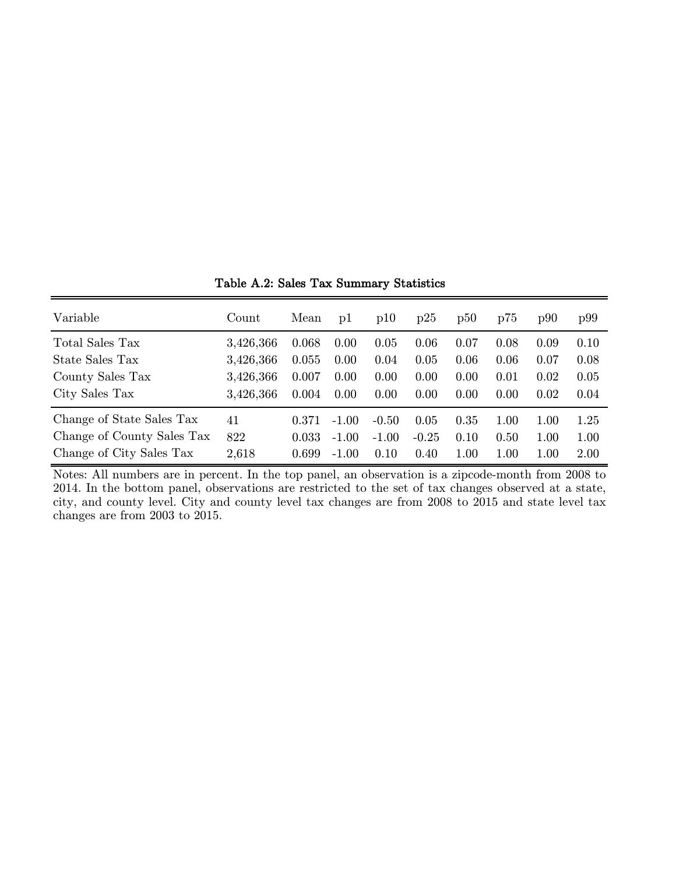| Variable                   | Count     | Mean  | pl      | p10     | p25     | p50  | p75  | p90  | p99  |
|----------------------------|-----------|-------|---------|---------|---------|------|------|------|------|
| Total Sales Tax            | 3,426,366 | 0.068 | 0.00    | 0.05    | 0.06    | 0.07 | 0.08 | 0.09 | 0.10 |
| State Sales Tax            | 3,426,366 | 0.055 | 0.00    | 0.04    | 0.05    | 0.06 | 0.06 | 0.07 | 0.08 |
| County Sales Tax           | 3,426,366 | 0.007 | 0.00    | 0.00    | 0.00    | 0.00 | 0.01 | 0.02 | 0.05 |
| City Sales Tax             | 3,426,366 | 0.004 | 0.00    | 0.00    | 0.00    | 0.00 | 0.00 | 0.02 | 0.04 |
| Change of State Sales Tax  | 41        | 0.371 | $-1.00$ | $-0.50$ | 0.05    | 0.35 | 1.00 | 1.00 | 1.25 |
| Change of County Sales Tax | 822       | 0.033 | $-1.00$ | $-1.00$ | $-0.25$ | 0.10 | 0.50 | 1.00 | 1.00 |
| Change of City Sales Tax   | 2,618     | 0.699 | $-1.00$ | 0.10    | 0.40    | 1.00 | 1.00 | 1.00 | 2.00 |

Table A.2: Sales Tax Summary Statistics

Notes: All numbers are in percent. In the top panel, an observation is a zipcode-month from 2008 to 2014. In the bottom panel, observations are restricted to the set of tax changes observed at a state, city, and county level. City and county level tax changes are from 2008 to 2015 and state level tax changes are from 2003 to 2015.